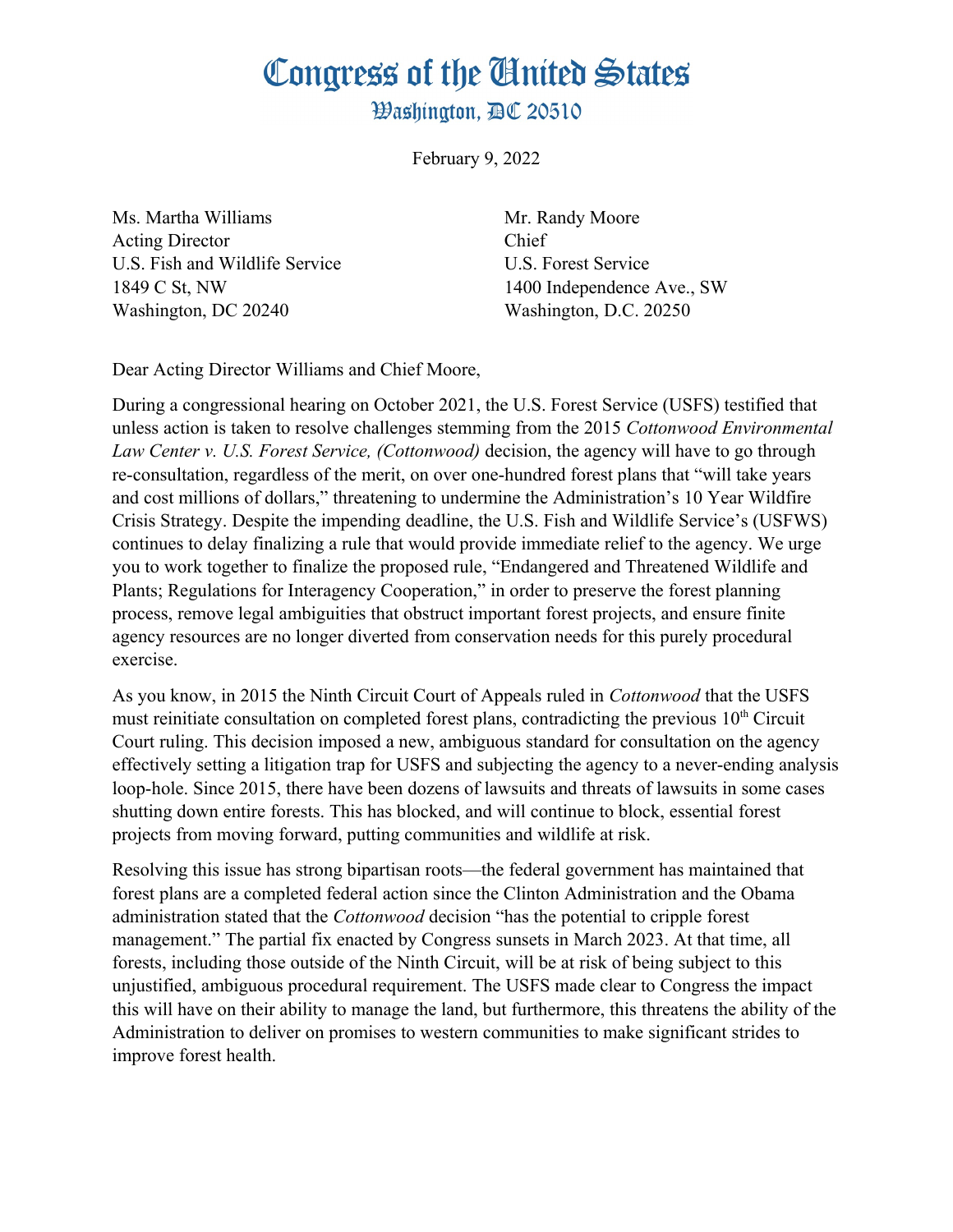## Congress of the Ginited States

**Washington. AC 20510** 

February 9, 2022

Ms. Martha Williams Mr. Randy Moore Acting Director Chief U.S. Fish and Wildlife Service U.S. Forest Service 1849 C St, NW 1400 Independence Ave., SW Washington, DC 20240 Washington, D.C. 20250

Dear Acting Director Williams and Chief Moore,

During a congressional hearing on October 2021, the U.S. Forest Service (USFS) testified that unless action is taken to resolve challenges stemming from the 2015 *Cottonwood Environmental Law Center v. U.S. Forest Service, (Cottonwood)* decision, the agency will have to go through re-consultation, regardless of the merit, on over one-hundred forest plans that "will take years and cost millions of dollars," threatening to undermine the Administration's 10 Year Wildfire Crisis Strategy. Despite the impending deadline, the U.S. Fish and Wildlife Service's (USFWS) continues to delay finalizing a rule that would provide immediate relief to the agency. We urge you to work together to finalize the proposed rule, "Endangered and Threatened Wildlife and Plants; Regulations for Interagency Cooperation," in order to preserve the forest planning process, remove legal ambiguities that obstruct important forest projects, and ensure finite agency resources are no longer diverted from conservation needs for this purely procedural exercise.

As you know, in 2015 the Ninth Circuit Court of Appeals ruled in *Cottonwood* that the USFS must reinitiate consultation on completed forest plans, contradicting the previous  $10<sup>th</sup>$  Circuit Court ruling. This decision imposed a new, ambiguous standard for consultation on the agency effectively setting a litigation trap for USFS and subjecting the agency to a never-ending analysis loop-hole. Since 2015, there have been dozens of lawsuits and threats of lawsuits in some cases shutting down entire forests. This has blocked, and will continue to block, essential forest projects from moving forward, putting communities and wildlife at risk.

Resolving this issue has strong bipartisan roots—the federal government has maintained that forest plans are a completed federal action since the Clinton Administration and the Obama administration stated that the *Cottonwood* decision "has the potential to cripple forest management." The partial fix enacted by Congress sunsets in March 2023. At that time, all forests, including those outside of the Ninth Circuit, will be at risk of being subject to this unjustified, ambiguous procedural requirement. The USFS made clear to Congress the impact this will have on their ability to manage the land, but furthermore, this threatens the ability of the Administration to deliver on promises to western communities to make significant strides to improve forest health.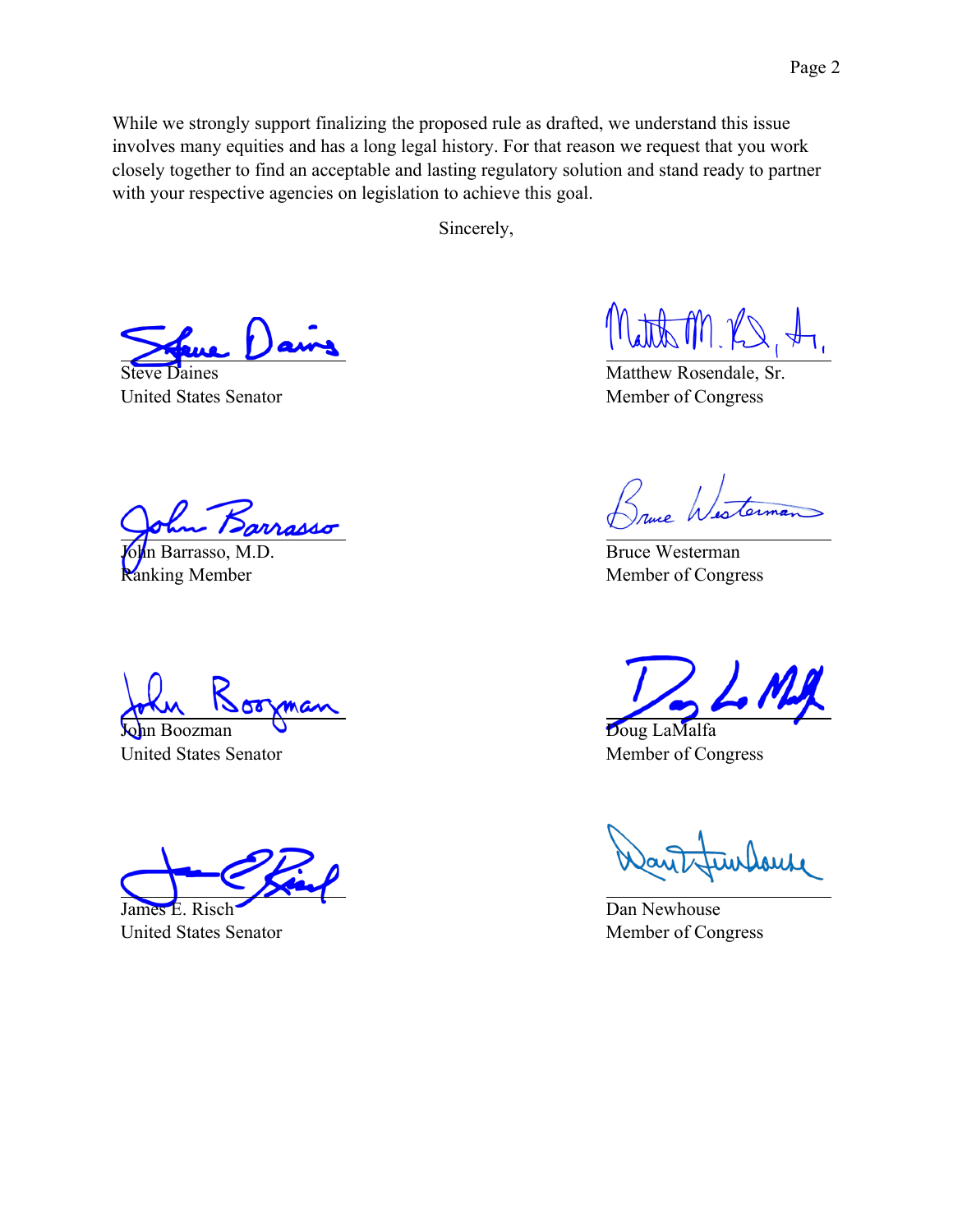While we strongly support finalizing the proposed rule as drafted, we understand this issue involves many equities and has a long legal history. For that reason we request that you work closely together to find an acceptable and lasting regulatory solution and stand ready to partner with your respective agencies on legislation to achieve this goal.

Sincerely,

Steve Daines United States Senator

John Barrasso, M.D. Ranking Member

In Boozman United States Senator

James E. Risch United States Senator

Matth M RS

Matthew Rosendale, Sr. Member of Congress

aug Westerman

Bruce Westerman Member of Congress

Doug LaMalfa Member of Congress

Dan Newhouse Member of Congress